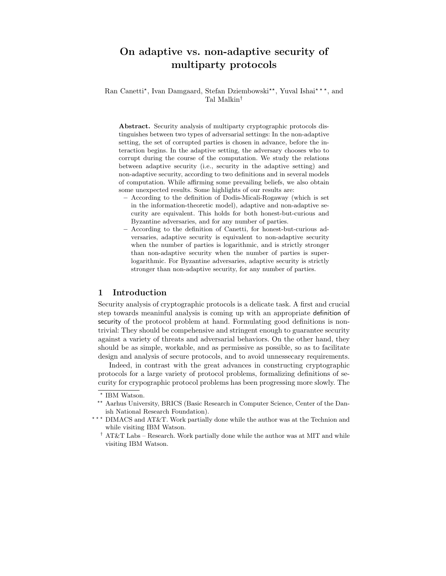# On adaptive vs. non-adaptive security of multiparty protocols

Ran Canetti\*, Ivan Damgaard, Stefan Dziembowski\*\*, Yuval Ishai\*\*\*, and Tal Malkin†

Abstract. Security analysis of multiparty cryptographic protocols distinguishes between two types of adversarial settings: In the non-adaptive setting, the set of corrupted parties is chosen in advance, before the interaction begins. In the adaptive setting, the adversary chooses who to corrupt during the course of the computation. We study the relations between adaptive security (i.e., security in the adaptive setting) and non-adaptive security, according to two definitions and in several models of computation. While affirming some prevailing beliefs, we also obtain some unexpected results. Some highlights of our results are:

- According to the definition of Dodis-Micali-Rogaway (which is set in the information-theoretic model), adaptive and non-adaptive security are equivalent. This holds for both honest-but-curious and Byzantine adversaries, and for any number of parties.
- According to the definition of Canetti, for honest-but-curious adversaries, adaptive security is equivalent to non-adaptive security when the number of parties is logarithmic, and is strictly stronger than non-adaptive security when the number of parties is superlogarithmic. For Byzantine adversaries, adaptive security is strictly stronger than non-adaptive security, for any number of parties.

# 1 Introduction

Security analysis of cryptographic protocols is a delicate task. A first and crucial step towards meaninful analysis is coming up with an appropriate definition of security of the protocol problem at hand. Formulating good definitions is nontrivial: They should be compehensive and stringent enough to guarantee security against a variety of threats and adversarial behaviors. On the other hand, they should be as simple, workable, and as permissive as possible, so as to facilitate design and analysis of secure protocols, and to avoid unnessecary requirements.

Indeed, in contrast with the great advances in constructing cryptographic protocols for a large variety of protocol problems, formalizing definitions of security for crypographic protocol problems has been progressing more slowly. The

 $^\star$  IBM Watson.

<sup>\*\*</sup> Aarhus University, BRICS (Basic Research in Computer Science, Center of the Danish National Research Foundation).

<sup>\*\*\*</sup> DIMACS and AT&T. Work partially done while the author was at the Technion and while visiting IBM Watson.

<sup>†</sup> AT&T Labs – Research. Work partially done while the author was at MIT and while visiting IBM Watson.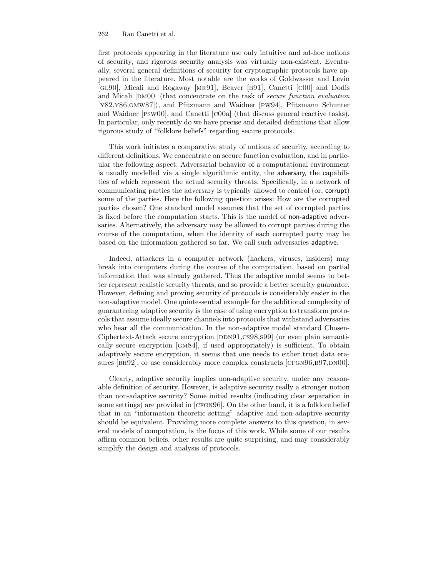### 262 Ran Canetti et al.

first protocols appearing in the literature use only intuitive and ad-hoc notions of security, and rigorous security analysis was virtually non-existent. Eventually, several general definitions of security for cryptographic protocols have appeared in the literature. Most notable are the works of Goldwasser and Levin [gl90], Micali and Rogaway [mr91], Beaver [b91], Canetti [c00] and Dodis and Micali [DM00] (that concentrate on the task of secure function evaluation [y82,y86,gmw87]), and Pfitzmann and Waidner [pw94], Pfitzmann Schunter and Waidner [psw00], and Canetti [c00a] (that discuss general reactive tasks). In particular, only recently do we have precise and detailed definitions that allow rigorous study of "folklore beliefs" regarding secure protocols.

This work initiates a comparative study of notions of security, according to different definitions. We concentrate on secure function evaluation, and in particular the following aspect. Adversarial behavior of a computational environment is usually modelled via a single algorithmic entity, the adversary, the capabilities of which represent the actual security threats. Specifically, in a network of communicating parties the adversary is typically allowed to control (or, corrupt) some of the parties. Here the following question arises: How are the corrupted parties chosen? One standard model assumes that the set of corrupted parties is fixed before the computation starts. This is the model of non-adaptive adversaries. Alternatively, the adversary may be allowed to corrupt parties during the course of the computation, when the identity of each corrupted party may be based on the information gathered so far. We call such adversaries adaptive.

Indeed, attackers in a computer network (hackers, viruses, insiders) may break into computers during the course of the computation, based on partial information that was already gathered. Thus the adaptive model seems to better represent realistic security threats, and so provide a better security guarantee. However, defining and proving security of protocols is considerably easier in the non-adaptive model. One quintessential example for the additional complexity of guaranteeing adaptive security is the case of using encryption to transform protocols that assume ideally secure channels into protocols that withstand adversaries who hear all the communication. In the non-adaptive model standard Chosen-Ciphertext-Attack secure encryption [DDN91,cs98,s99] (or even plain semantically secure encryption [gm84], if used appropriately) is sufficient. To obtain adaptively secure encryption, it seems that one needs to either trust data erasures  $[BH92]$ , or use considerably more complex constructs  $[CFGN96,B97,DN00]$ .

Clearly, adaptive security implies non-adaptive security, under any reasonable definition of security. However, is adaptive security really a stronger notion than non-adaptive security? Some initial results (indicating clear separation in some settings) are provided in [CFGN96]. On the other hand, it is a folklore belief that in an "information theoretic setting" adaptive and non-adaptive security should be equivalent. Providing more complete answers to this question, in several models of computation, is the focus of this work. While some of our results affirm common beliefs, other results are quite surprising, and may considerably simplify the design and analysis of protocols.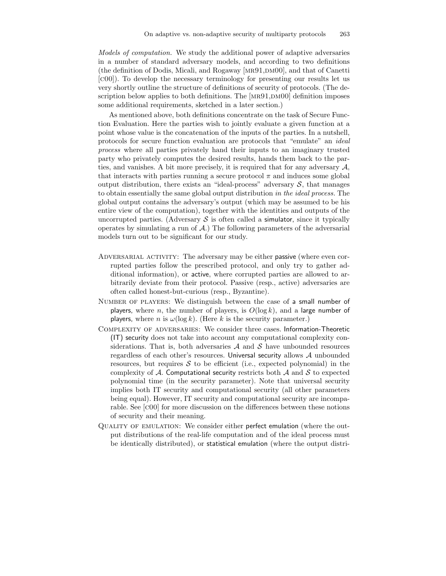Models of computation. We study the additional power of adaptive adversaries in a number of standard adversary models, and according to two definitions (the definition of Dodis, Micali, and Rogaway  $[MR91,DM00]$ , and that of Canetti [c00]). To develop the necessary terminology for presenting our results let us very shortly outline the structure of definitions of security of protocols. (The description below applies to both definitions. The  $[MR91,DM00]$  definition imposes some additional requirements, sketched in a later section.)

As mentioned above, both definitions concentrate on the task of Secure Function Evaluation. Here the parties wish to jointly evaluate a given function at a point whose value is the concatenation of the inputs of the parties. In a nutshell, protocols for secure function evaluation are protocols that "emulate" an ideal process where all parties privately hand their inputs to an imaginary trusted party who privately computes the desired results, hands them back to the parties, and vanishes. A bit more precisely, it is required that for any adversary  $A$ , that interacts with parties running a secure protocol  $\pi$  and induces some global output distribution, there exists an "ideal-process" adversary  $S$ , that manages to obtain essentially the same global output distribution in the ideal process. The global output contains the adversary's output (which may be assumed to be his entire view of the computation), together with the identities and outputs of the uncorrupted parties. (Adversary  $S$  is often called a simulator, since it typically operates by simulating a run of  $\mathcal{A}$ .) The following parameters of the adversarial models turn out to be significant for our study.

- Adversarial activity: The adversary may be either passive (where even corrupted parties follow the prescribed protocol, and only try to gather additional information), or active, where corrupted parties are allowed to arbitrarily deviate from their protocol. Passive (resp., active) adversaries are often called honest-but-curious (resp., Byzantine).
- Number of players: We distinguish between the case of a small number of players, where n, the number of players, is  $O(\log k)$ , and a large number of players, where n is  $\omega(\log k)$ . (Here k is the security parameter.)
- Complexity of adversaries: We consider three cases. Information-Theoretic (IT) security does not take into account any computational complexity considerations. That is, both adversaries  $A$  and  $S$  have unbounded resources regardless of each other's resources. Universal security allows A unbounded resources, but requires  $S$  to be efficient (i.e., expected polynomial) in the complexity of  $A$ . Computational security restricts both  $A$  and  $S$  to expected polynomial time (in the security parameter). Note that universal security implies both IT security and computational security (all other parameters being equal). However, IT security and computational security are incomparable. See [c00] for more discussion on the differences between these notions of security and their meaning.
- Quality of emulation: We consider either perfect emulation (where the output distributions of the real-life computation and of the ideal process must be identically distributed), or statistical emulation (where the output distri-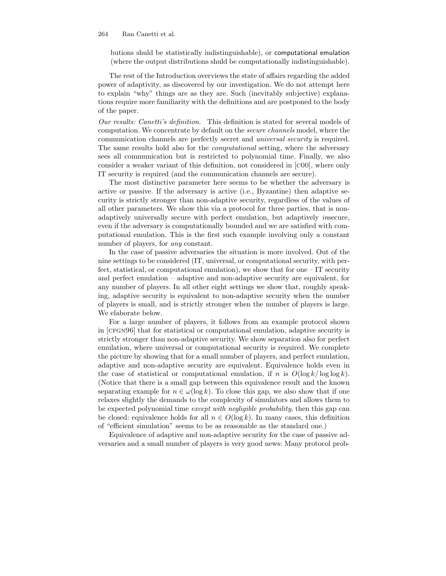butions shuld be statistically indistinguishable), or computational emulation (where the output distributions shuld be computationally indistinguishable).

The rest of the Introduction overviews the state of affairs regarding the added power of adaptivity, as discovered by our investigation. We do not attempt here to explain "why" things are as they are. Such (inevitably subjective) explanations require more familiarity with the definitions and are postponed to the body of the paper.

Our results: Canetti's definition. This definition is stated for several models of computation. We concentrate by default on the secure channels model, where the communication channels are perfectly secret and universal security is required. The same results hold also for the computational setting, where the adversary sees all communication but is restricted to polynomial time. Finally, we also consider a weaker variant of this definition, not considered in [c00], where only IT security is required (and the communication channels are secure).

The most distinctive parameter here seems to be whether the adversary is active or passive. If the adversary is active (i.e., Byzantine) then adaptive security is strictly stronger than non-adaptive security, regardless of the values of all other parameters. We show this via a protocol for three parties, that is nonadaptively universally secure with perfect emulation, but adaptively insecure, even if the adversary is computationally bounded and we are satisfied with computational emulation. This is the first such example involving only a constant number of players, for *any* constant.

In the case of passive adversaries the situation is more involved. Out of the nine settings to be considered (IT, universal, or computational security, with perfect, statistical, or computational emulation), we show that for one – IT security and perfect emulation – adaptive and non-adaptive security are equivalent, for any number of players. In all other eight settings we show that, roughly speaking, adaptive security is equivalent to non-adaptive security when the number of players is small, and is strictly stronger when the number of players is large. We elaborate below.

For a large number of players, it follows from an example protocol shown in [cfgn96] that for statistical or computational emulation, adaptive security is strictly stronger than non-adaptive security. We show separation also for perfect emulation, where universal or computational security is required. We complete the picture by showing that for a small number of players, and perfect emulation, adaptive and non-adaptive security are equivalent. Equivalence holds even in the case of statistical or computational emulation, if n is  $O(\log k/\log \log k)$ . (Notice that there is a small gap between this equivalence result and the known separating example for  $n \in \omega(\log k)$ . To close this gap, we also show that if one relaxes slightly the demands to the complexity of simulators and allows them to be expected polynomial time except with negligible probability, then this gap can be closed: equivalence holds for all  $n \in O(\log k)$ . In many cases, this definition of "efficient simulation" seems to be as reasonable as the standard one.)

Equivalence of adaptive and non-adaptive security for the case of passive adversaries and a small number of players is very good news: Many protocol prob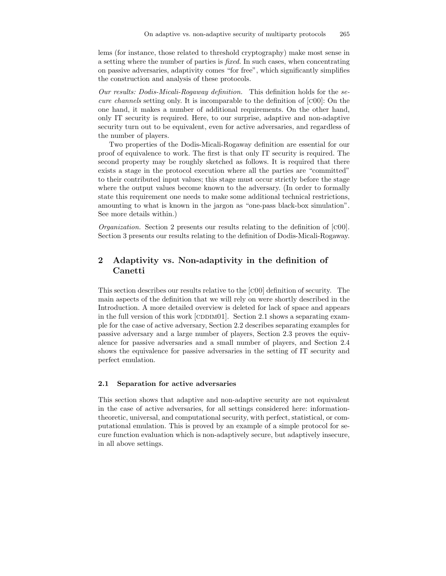lems (for instance, those related to threshold cryptography) make most sense in a setting where the number of parties is fixed. In such cases, when concentrating on passive adversaries, adaptivity comes "for free", which significantly simplifies the construction and analysis of these protocols.

Our results: Dodis-Micali-Rogaway definition. This definition holds for the secure channels setting only. It is incomparable to the definition of  $[CO0]$ : On the one hand, it makes a number of additional requirements. On the other hand, only IT security is required. Here, to our surprise, adaptive and non-adaptive security turn out to be equivalent, even for active adversaries, and regardless of the number of players.

Two properties of the Dodis-Micali-Rogaway definition are essential for our proof of equivalence to work. The first is that only IT security is required. The second property may be roughly sketched as follows. It is required that there exists a stage in the protocol execution where all the parties are "committed" to their contributed input values; this stage must occur strictly before the stage where the output values become known to the adversary. (In order to formally state this requirement one needs to make some additional technical restrictions, amounting to what is known in the jargon as "one-pass black-box simulation". See more details within.)

Organization. Section 2 presents our results relating to the definition of [c00]. Section 3 presents our results relating to the definition of Dodis-Micali-Rogaway.

# 2 Adaptivity vs. Non-adaptivity in the definition of Canetti

This section describes our results relative to the [c00] definition of security. The main aspects of the definition that we will rely on were shortly described in the Introduction. A more detailed overview is deleted for lack of space and appears in the full version of this work [CDDIM01]. Section 2.1 shows a separating example for the case of active adversary, Section 2.2 describes separating examples for passive adversary and a large number of players, Section 2.3 proves the equivalence for passive adversaries and a small number of players, and Section 2.4 shows the equivalence for passive adversaries in the setting of IT security and perfect emulation.

# 2.1 Separation for active adversaries

This section shows that adaptive and non-adaptive security are not equivalent in the case of active adversaries, for all settings considered here: informationtheoretic, universal, and computational security, with perfect, statistical, or computational emulation. This is proved by an example of a simple protocol for secure function evaluation which is non-adaptively secure, but adaptively insecure, in all above settings.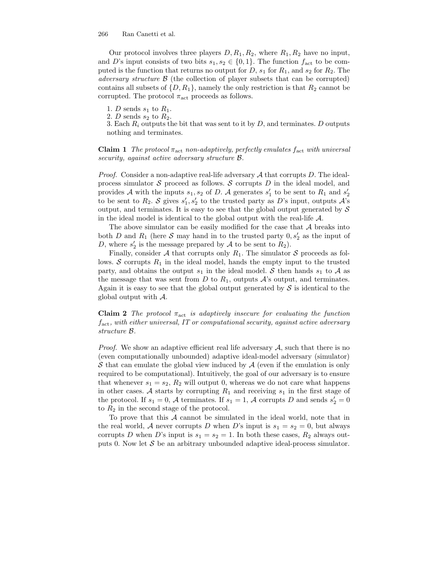266 Ran Canetti et al.

Our protocol involves three players  $D, R_1, R_2$ , where  $R_1, R_2$  have no input, and D's input consists of two bits  $s_1, s_2 \in \{0, 1\}$ . The function  $f_{\text{act}}$  to be computed is the function that returns no output for  $D$ ,  $s_1$  for  $R_1$ , and  $s_2$  for  $R_2$ . The adversary structure  $\beta$  (the collection of player subsets that can be corrupted) contains all subsets of  $\{D, R_1\}$ , namely the only restriction is that  $R_2$  cannot be corrupted. The protocol  $\pi_{\text{act}}$  proceeds as follows.

1. D sends  $s_1$  to  $R_1$ .

2. D sends  $s_2$  to  $R_2$ .

3. Each  $R_i$  outputs the bit that was sent to it by  $D$ , and terminates.  $D$  outputs nothing and terminates.

**Claim 1** The protocol  $\pi_{\text{act}}$  non-adaptively, perfectly emulates  $f_{\text{act}}$  with universal security, against active adversary structure  $\beta$ .

*Proof.* Consider a non-adaptive real-life adversary  $A$  that corrupts  $D$ . The idealprocess simulator  $S$  proceed as follows.  $S$  corrupts  $D$  in the ideal model, and provides A with the inputs  $s_1, s_2$  of D. A generates  $s'_1$  to be sent to  $R_1$  and  $s'_2$ to be sent to  $R_2$ . S gives  $s'_1, s'_2$  to the trusted party as D's input, outputs  $\mathcal{A}$ 's output, and terminates. It is easy to see that the global output generated by  $\mathcal S$ in the ideal model is identical to the global output with the real-life  $\mathcal{A}$ .

The above simulator can be easily modified for the case that  $A$  breaks into both D and  $R_1$  (here S may hand in to the trusted party  $0, s'_2$  as the input of D, where  $s_2'$  is the message prepared by  $A$  to be sent to  $R_2$ ).

Finally, consider A that corrupts only  $R_1$ . The simulator S proceeds as follows. S corrupts  $R_1$  in the ideal model, hands the empty input to the trusted party, and obtains the output  $s_1$  in the ideal model. S then hands  $s_1$  to A as the message that was sent from  $D$  to  $R_1$ , outputs  $A$ 's output, and terminates. Again it is easy to see that the global output generated by  $S$  is identical to the global output with  $\mathcal{A}$ .

**Claim 2** The protocol  $\pi_{\text{act}}$  is adaptively insecure for evaluating the function  $f_{\text{act}}$ , with either universal, IT or computational security, against active adversary structure B.

*Proof.* We show an adaptive efficient real life adversary  $A$ , such that there is no (even computationally unbounded) adaptive ideal-model adversary (simulator) S that can emulate the global view induced by  $A$  (even if the emulation is only required to be computational). Intuitively, the goal of our adversary is to ensure that whenever  $s_1 = s_2$ ,  $R_2$  will output 0, whereas we do not care what happens in other cases. A starts by corrupting  $R_1$  and receiving  $s_1$  in the first stage of the protocol. If  $s_1 = 0$ , A terminates. If  $s_1 = 1$ , A corrupts D and sends  $s_2' = 0$ to  $R_2$  in the second stage of the protocol.

To prove that this A cannot be simulated in the ideal world, note that in the real world, A never corrupts D when D's input is  $s_1 = s_2 = 0$ , but always corrupts D when D's input is  $s_1 = s_2 = 1$ . In both these cases,  $R_2$  always outputs 0. Now let  $S$  be an arbitrary unbounded adaptive ideal-process simulator.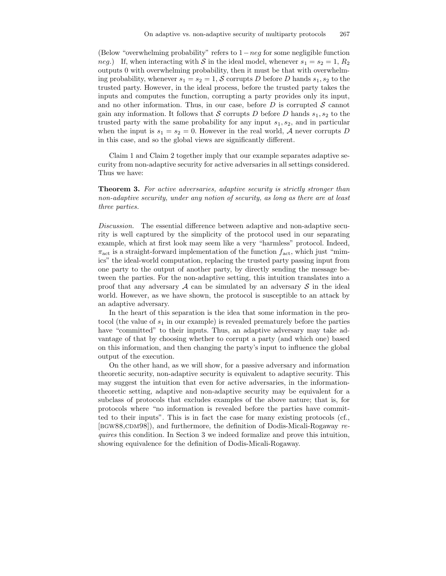(Below "overwhelming probability" refers to  $1-neg$  for some negligible function neg.) If, when interacting with S in the ideal model, whenever  $s_1 = s_2 = 1, R_2$ outputs 0 with overwhelming probability, then it must be that with overwhelming probability, whenever  $s_1 = s_2 = 1$ , S corrupts D before D hands  $s_1, s_2$  to the trusted party. However, in the ideal process, before the trusted party takes the inputs and computes the function, corrupting a party provides only its input, and no other information. Thus, in our case, before D is corrupted  $\mathcal S$  cannot gain any information. It follows that S corrupts D before D hands  $s_1, s_2$  to the trusted party with the same probability for any input  $s_1, s_2$ , and in particular when the input is  $s_1 = s_2 = 0$ . However in the real world, A never corrupts D in this case, and so the global views are significantly different.

Claim 1 and Claim 2 together imply that our example separates adaptive security from non-adaptive security for active adversaries in all settings considered. Thus we have:

**Theorem 3.** For active adversaries, adaptive security is strictly stronger than non-adaptive security, under any notion of security, as long as there are at least three parties.

Discussion. The essential difference between adaptive and non-adaptive security is well captured by the simplicity of the protocol used in our separating example, which at first look may seem like a very "harmless" protocol. Indeed,  $\pi_{\text{act}}$  is a straight-forward implementation of the function  $f_{\text{act}}$ , which just "mimics" the ideal-world computation, replacing the trusted party passing input from one party to the output of another party, by directly sending the message between the parties. For the non-adaptive setting, this intuition translates into a proof that any adversary  $A$  can be simulated by an adversary  $S$  in the ideal world. However, as we have shown, the protocol is susceptible to an attack by an adaptive adversary.

In the heart of this separation is the idea that some information in the protocol (the value of  $s_1$  in our example) is revealed prematurely before the parties have "committed" to their inputs. Thus, an adaptive adversary may take advantage of that by choosing whether to corrupt a party (and which one) based on this information, and then changing the party's input to influence the global output of the execution.

On the other hand, as we will show, for a passive adversary and information theoretic security, non-adaptive security is equivalent to adaptive security. This may suggest the intuition that even for active adversaries, in the informationtheoretic setting, adaptive and non-adaptive security may be equivalent for a subclass of protocols that excludes examples of the above nature; that is, for protocols where "no information is revealed before the parties have committed to their inputs". This is in fact the case for many existing protocols (cf., [BGW88,CDM98]), and furthermore, the definition of Dodis-Micali-Rogaway requires this condition. In Section 3 we indeed formalize and prove this intuition, showing equivalence for the definition of Dodis-Micali-Rogaway.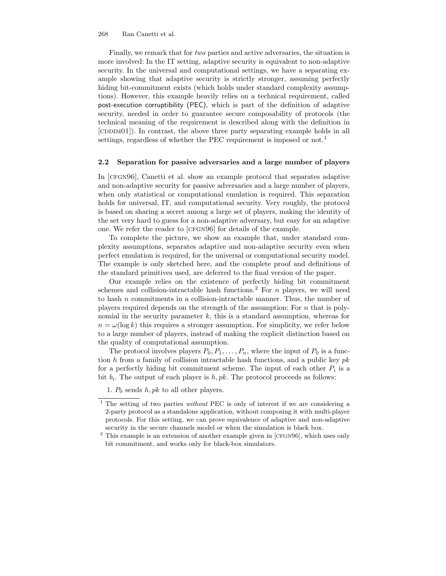Finally, we remark that for two parties and active adversaries, the situation is more involved: In the IT setting, adaptive security is equivalent to non-adaptive security. In the universal and computational settings, we have a separating example showing that adaptive security is strictly stronger, assuming perfectly hiding bit-commitment exists (which holds under standard complexity assumptions). However, this example heavily relies on a technical requirement, called post-execution corruptibility (PEC), which is part of the definition of adaptive security, needed in order to guarantee secure composability of protocols (the technical meaning of the requirement is described along with the definition in  $[CDDIM01]$ . In contrast, the above three party separating example holds in all settings, regardless of whether the PEC requirement is imposed or not.<sup>1</sup>

## 2.2 Separation for passive adversaries and a large number of players

In [CFGN96], Canetti et al. show an example protocol that separates adaptive and non-adaptive security for passive adversaries and a large number of players, when only statistical or computational emulation is required. This separation holds for universal, IT, and computational security. Very roughly, the protocol is based on sharing a secret among a large set of players, making the identity of the set very hard to guess for a non-adaptive adversary, but easy for an adaptive one. We refer the reader to [cfgn96] for details of the example.

To complete the picture, we show an example that, under standard complexity assumptions, separates adaptive and non-adaptive security even when perfect emulation is required, for the universal or computational security model. The example is only sketched here, and the complete proof and definitions of the standard primitives used, are deferred to the final version of the paper.

Our example relies on the existence of perfectly hiding bit commitment schemes and collision-intractable hash functions.<sup>2</sup> For n players, we will need to hash  $n$  commitments in a collision-intractable manner. Thus, the number of players required depends on the strength of the assumption: For  $n$  that is polynomial in the security parameter  $k$ , this is a standard assumption, whereas for  $n = \omega(\log k)$  this requires a stronger assumption. For simplicity, we refer below to a large number of players, instead of making the explicit distinction based on the quality of computational assumption.

The protocol involves players  $P_0, P_1, \ldots, P_n$ , where the input of  $P_0$  is a function  $h$  from a family of collision intractable hash functions, and a public key  $pk$ for a perfectly hiding bit commitment scheme. The input of each other  $P_i$  is a bit  $b_i$ . The output of each player is  $h, pk$ . The protocol proceeds as follows:

1.  $P_0$  sends  $h, pk$  to all other players.

<sup>&</sup>lt;sup>1</sup> The setting of two parties *without* PEC is only of interest if we are considering a 2-party protocol as a standalone application, without composing it with multi-player protocols. For this setting, we can prove equivalence of adaptive and non-adaptive security in the secure channels model or when the simulation is black box.

 $2$  This example is an extension of another example given in [CFGN96], which uses only bit commitment, and works only for black-box simulators.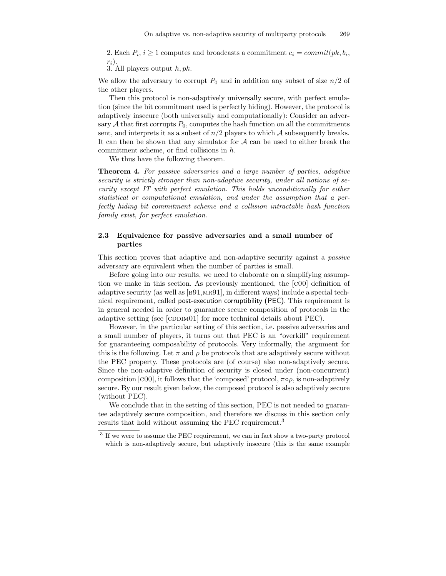2. Each  $P_i$ ,  $i \geq 1$  computes and broadcasts a commitment  $c_i = commit(pk, b_i,$  $r_i$ ).

3. All players output  $h, pk$ .

We allow the adversary to corrupt  $P_0$  and in addition any subset of size  $n/2$  of the other players.

Then this protocol is non-adaptively universally secure, with perfect emulation (since the bit commitment used is perfectly hiding). However, the protocol is adaptively insecure (both universally and computationally): Consider an adversary A that first corrupts  $P_0$ , computes the hash function on all the commitments sent, and interprets it as a subset of  $n/2$  players to which A subsequently breaks. It can then be shown that any simulator for  $A$  can be used to either break the commitment scheme, or find collisions in h.

We thus have the following theorem.

Theorem 4. For passive adversaries and a large number of parties, adaptive security is strictly stronger than non-adaptive security, under all notions of security except IT with perfect emulation. This holds unconditionally for either statistical or computational emulation, and under the assumption that a perfectly hiding bit commitment scheme and a collision intractable hash function family exist, for perfect emulation.

# 2.3 Equivalence for passive adversaries and a small number of parties

This section proves that adaptive and non-adaptive security against a passive adversary are equivalent when the number of parties is small.

Before going into our results, we need to elaborate on a simplifying assumption we make in this section. As previously mentioned, the [c00] definition of adaptive security (as well as [B91,MR91], in different ways) include a special technical requirement, called post-execution corruptibility (PEC). This requirement is in general needed in order to guarantee secure composition of protocols in the adaptive setting (see [CDDIM $[01]$  for more technical details about PEC).

However, in the particular setting of this section, i.e. passive adversaries and a small number of players, it turns out that PEC is an "overkill" requirement for guaranteeing composability of protocols. Very informally, the argument for this is the following. Let  $\pi$  and  $\rho$  be protocols that are adaptively secure without the PEC property. These protocols are (of course) also non-adaptively secure. Since the non-adaptive definition of security is closed under (non-concurrent) composition [c00], it follows that the 'composed' protocol,  $\pi \circ \rho$ , is non-adaptively secure. By our result given below, the composed protocol is also adaptively secure (without PEC).

We conclude that in the setting of this section, PEC is not needed to guarantee adaptively secure composition, and therefore we discuss in this section only results that hold without assuming the PEC requirement.<sup>3</sup>

<sup>&</sup>lt;sup>3</sup> If we were to assume the PEC requirement, we can in fact show a two-party protocol which is non-adaptively secure, but adaptively insecure (this is the same example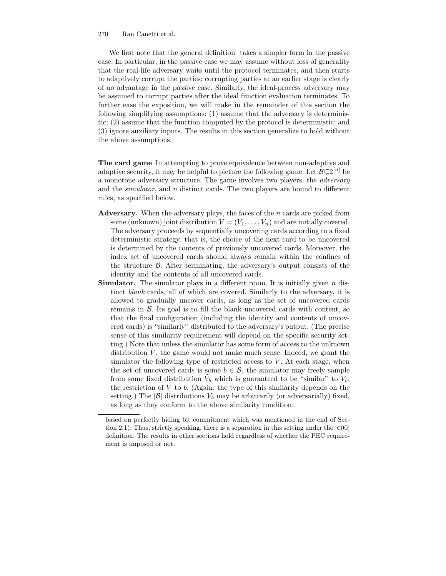We first note that the general definition takes a simpler form in the passive case. In particular, in the passive case we may assume without loss of generality that the real-life adversary waits until the protocol terminates, and then starts to adaptively corrupt the parties; corrupting parties at an earlier stage is clearly of no advantage in the passive case. Similarly, the ideal-process adversary may be assumed to corrupt parties after the ideal function evaluation terminates. To further ease the exposition, we will make in the remainder of this section the following simplifying assumptions: (1) assume that the adversary is deterministic; (2) assume that the function computed by the protocol is deterministic; and (3) ignore auxiliary inputs. The results in this section generalize to hold without the above assumptions.

The card game In attempting to prove equivalence between non-adaptive and adaptive security, it may be helpful to picture the following game. Let  $\mathcal{B}\subseteq 2^{[n]}$  be a monotone adversary structure. The game involves two players, the adversary and the simulator, and n distinct cards. The two players are bound to different rules, as specified below.

- Adversary. When the adversary plays, the faces of the  $n$  cards are picked from some (unknown) joint distribution  $V = (V_1, \ldots, V_n)$  and are initially covered. The adversary proceeds by sequentially uncovering cards according to a fixed deterministic strategy; that is, the choice of the next card to be uncovered is determined by the contents of previously uncovered cards. Moreover, the index set of uncovered cards should always remain within the confines of the structure  $\beta$ . After terminating, the adversary's output consists of the identity and the contents of all uncovered cards.
- **Simulator.** The simulator plays in a different room. It is initially given  $n$  distinct blank cards, all of which are covered. Similarly to the adversary, it is allowed to gradually uncover cards, as long as the set of uncovered cards remains in  $\beta$ . Its goal is to fill the blank uncovered cards with content, so that the final configuration (including the identity and contents of uncovered cards) is "similarly" distributed to the adversary's output. (The precise sense of this similarity requirement will depend on the specific security setting.) Note that unless the simulator has some form of access to the unknown distribution  $V$ , the game would not make much sense. Indeed, we grant the simulator the following type of restricted access to  $V$ . At each stage, when the set of uncovered cards is some  $b \in \mathcal{B}$ , the simulator may freely sample from some fixed distribution  $\tilde{V}_b$  which is guaranteed to be "similar" to  $V_b$ , the restriction of  $V$  to  $b$ . (Again, the type of this similarity depends on the setting.) The  $|\mathcal{B}|$  distributions  $V_b$  may be arbitrarily (or adversarially) fixed, as long as they conform to the above similarity condition.

based on perfectly hiding bit commitment which was mentioned in the end of Section 2.1). Thus, strictly speaking, there is a separation in this setting under the [c00] definition. The results in other sections hold regardless of whether the PEC requirement is imposed or not.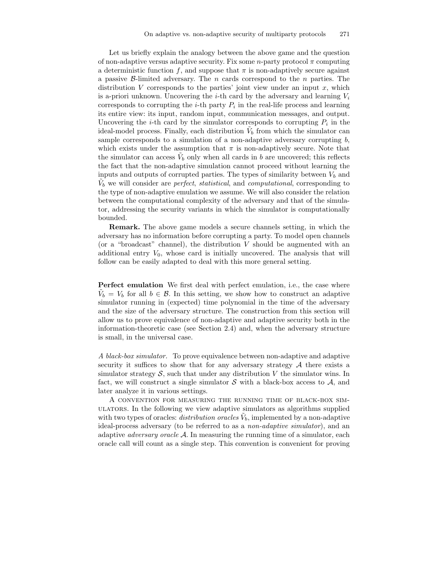Let us briefly explain the analogy between the above game and the question of non-adaptive versus adaptive security. Fix some *n*-party protocol  $\pi$  computing a deterministic function f, and suppose that  $\pi$  is non-adaptively secure against a passive  $\beta$ -limited adversary. The *n* cards correspond to the *n* parties. The distribution  $V$  corresponds to the parties' joint view under an input  $x$ , which is a-priori unknown. Uncovering the *i*-th card by the adversary and learning  $V_i$ corresponds to corrupting the *i*-th party  $P_i$  in the real-life process and learning its entire view: its input, random input, communication messages, and output. Uncovering the *i*-th card by the simulator corresponds to corrupting  $P_i$  in the ideal-model process. Finally, each distribution  $\tilde{V}_b$  from which the simulator can sample corresponds to a simulation of a non-adaptive adversary corrupting  $b$ , which exists under the assumption that  $\pi$  is non-adaptively secure. Note that the simulator can access  $\tilde{V}_b$  only when all cards in b are uncovered; this reflects the fact that the non-adaptive simulation cannot proceed without learning the inputs and outputs of corrupted parties. The types of similarity between  $V_b$  and  $\tilde{V}_b$  we will consider are *perfect*, *statistical*, and *computational*, corresponding to the type of non-adaptive emulation we assume. We will also consider the relation between the computational complexity of the adversary and that of the simulator, addressing the security variants in which the simulator is computationally bounded.

Remark. The above game models a secure channels setting, in which the adversary has no information before corrupting a party. To model open channels (or a "broadcast" channel), the distribution  $V$  should be augmented with an additional entry  $V_0$ , whose card is initially uncovered. The analysis that will follow can be easily adapted to deal with this more general setting.

Perfect emulation We first deal with perfect emulation, i.e., the case where  $\tilde{V}_b = V_b$  for all  $b \in \mathcal{B}$ . In this setting, we show how to construct an adaptive simulator running in (expected) time polynomial in the time of the adversary and the size of the adversary structure. The construction from this section will allow us to prove equivalence of non-adaptive and adaptive security both in the information-theoretic case (see Section 2.4) and, when the adversary structure is small, in the universal case.

A black-box simulator. To prove equivalence between non-adaptive and adaptive security it suffices to show that for any adversary strategy  $A$  there exists a simulator strategy  $\mathcal{S}$ , such that under any distribution V the simulator wins. In fact, we will construct a single simulator  $S$  with a black-box access to  $A$ , and later analyze it in various settings.

A convention for measuring the running time of black-box simulators. In the following we view adaptive simulators as algorithms supplied with two types of oracles: *distribution oracles*  $\tilde{V}_b$ , implemented by a non-adaptive ideal-process adversary (to be referred to as a non-adaptive simulator), and an adaptive *adversary oracle*  $A$ . In measuring the running time of a simulator, each oracle call will count as a single step. This convention is convenient for proving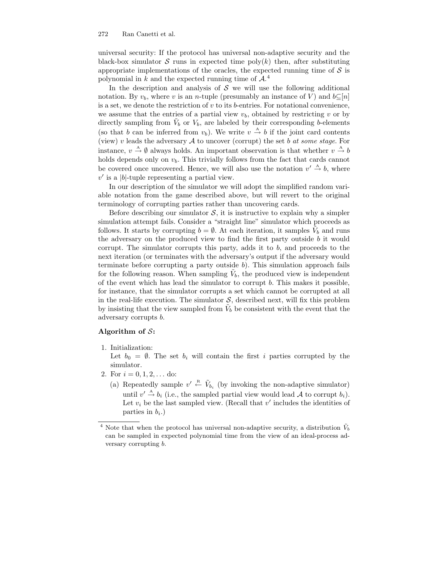#### 272 Ran Canetti et al.

universal security: If the protocol has universal non-adaptive security and the black-box simulator S runs in expected time  $\text{poly}(k)$  then, after substituting appropriate implementations of the oracles, the expected running time of  $\mathcal S$  is polynomial in k and the expected running time of  $A<sup>4</sup>$ .

In the description and analysis of  $S$  we will use the following additional notation. By  $v<sub>b</sub>$ , where v is an n-tuple (presumably an instance of V) and  $b\subseteq[n]$ is a set, we denote the restriction of  $v$  to its b-entries. For notational convenience, we assume that the entries of a partial view  $v<sub>b</sub>$ , obtained by restricting v or by directly sampling from  $\tilde{V}_b$  or  $V_b$ , are labeled by their corresponding b-elements (so that b can be inferred from  $v_b$ ). We write  $v \stackrel{A}{\rightarrow} b$  if the joint card contents (view) v leads the adversary  $A$  to uncover (corrupt) the set b at some stage. For instance,  $v \stackrel{A}{\rightarrow} \emptyset$  always holds. An important observation is that whether  $v \stackrel{A}{\rightarrow} b$ holds depends only on  $v<sub>b</sub>$ . This trivially follows from the fact that cards cannot be covered once uncovered. Hence, we will also use the notation  $v' \stackrel{A}{\rightarrow} b$ , where  $v'$  is a |b|-tuple representing a partial view.

In our description of the simulator we will adopt the simplified random variable notation from the game described above, but will revert to the original terminology of corrupting parties rather than uncovering cards.

Before describing our simulator  $S$ , it is instructive to explain why a simpler simulation attempt fails. Consider a "straight line" simulator which proceeds as follows. It starts by corrupting  $b = \emptyset$ . At each iteration, it samples  $\tilde{V}_b$  and runs the adversary on the produced view to find the first party outside  $b$  it would corrupt. The simulator corrupts this party, adds it to b, and proceeds to the next iteration (or terminates with the adversary's output if the adversary would terminate before corrupting a party outside b). This simulation approach fails for the following reason. When sampling  $\tilde{V}_b$ , the produced view is independent of the event which has lead the simulator to corrupt b. This makes it possible, for instance, that the simulator corrupts a set which cannot be corrupted at all in the real-life execution. The simulator  $S$ , described next, will fix this problem by insisting that the view sampled from  $\tilde{V}_b$  be consistent with the event that the adversary corrupts b.

## Algorithm of  $S$ :

- 1. Initialization:
	- Let  $b_0 = \emptyset$ . The set  $b_i$  will contain the first i parties corrupted by the simulator.
- 2. For  $i = 0, 1, 2, \ldots$  do:
	- (a) Repeatedly sample  $v' \stackrel{\text{R}}{\leftarrow} \tilde{V}_{b_i}$  (by invoking the non-adaptive simulator) until  $v' \stackrel{A}{\rightarrow} b_i$  (i.e., the sampled partial view would lead A to corrupt  $b_i$ ). Let  $v_i$  be the last sampled view. (Recall that  $v'$  includes the identities of parties in  $b_i$ .)

 $^{4}$  Note that when the protocol has universal non-adaptive security, a distribution  $\tilde{V}_b$ can be sampled in expected polynomial time from the view of an ideal-process adversary corrupting b.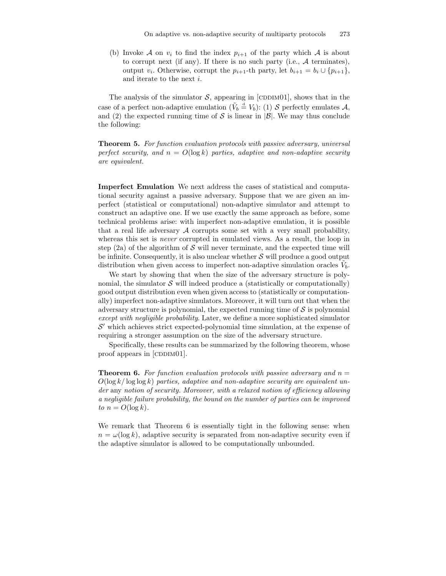(b) Invoke A on  $v_i$  to find the index  $p_{i+1}$  of the party which A is about to corrupt next (if any). If there is no such party (i.e.,  $A$  terminates), output  $v_i$ . Otherwise, corrupt the  $p_{i+1}$ -th party, let  $b_{i+1} = b_i \cup \{p_{i+1}\},$ and iterate to the next i.

The analysis of the simulator  $S$ , appearing in [CDDIM01], shows that in the case of a perfect non-adaptive emulation  $(\tilde{V}_b \stackrel{d}{=} V_b)$ : (1) S perfectly emulates A, and (2) the expected running time of  $S$  is linear in  $|\mathcal{B}|$ . We may thus conclude the following:

Theorem 5. For function evaluation protocols with passive adversary, universal perfect security, and  $n = O(\log k)$  parties, adaptive and non-adaptive security are equivalent.

Imperfect Emulation We next address the cases of statistical and computational security against a passive adversary. Suppose that we are given an imperfect (statistical or computational) non-adaptive simulator and attempt to construct an adaptive one. If we use exactly the same approach as before, some technical problems arise: with imperfect non-adaptive emulation, it is possible that a real life adversary  $A$  corrupts some set with a very small probability, whereas this set is never corrupted in emulated views. As a result, the loop in step (2a) of the algorithm of  $S$  will never terminate, and the expected time will be infinite. Consequently, it is also unclear whether  $S$  will produce a good output distribution when given access to imperfect non-adaptive simulation oracles  $\tilde{V}_b$ .

We start by showing that when the size of the adversary structure is polynomial, the simulator  $\mathcal S$  will indeed produce a (statistically or computationally) good output distribution even when given access to (statistically or computationally) imperfect non-adaptive simulators. Moreover, it will turn out that when the adversary structure is polynomial, the expected running time of  $\mathcal S$  is polynomial except with negligible probability. Later, we define a more sophisticated simulator  $\mathcal{S}'$  which achieves strict expected-polynomial time simulation, at the expense of requiring a stronger assumption on the size of the adversary structure.

Specifically, these results can be summarized by the following theorem, whose proof appears in  $[CDDIM01]$ .

**Theorem 6.** For function evaluation protocols with passive adversary and  $n =$  $O(\log k/\log \log k)$  parties, adaptive and non-adaptive security are equivalent under any notion of security. Moreover, with a relaxed notion of efficiency allowing a negligible failure probability, the bound on the number of parties can be improved to  $n = O(\log k)$ .

We remark that Theorem 6 is essentially tight in the following sense: when  $n = \omega(\log k)$ , adaptive security is separated from non-adaptive security even if the adaptive simulator is allowed to be computationally unbounded.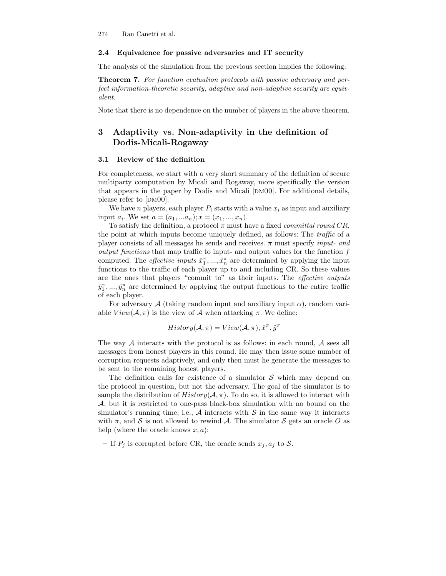## 2.4 Equivalence for passive adversaries and IT security

The analysis of the simulation from the previous section implies the following:

Theorem 7. For function evaluation protocols with passive adversary and perfect information-theoretic security, adaptive and non-adaptive security are equivalent.

Note that there is no dependence on the number of players in the above theorem.

# 3 Adaptivity vs. Non-adaptivity in the definition of Dodis-Micali-Rogaway

## 3.1 Review of the definition

For completeness, we start with a very short summary of the definition of secure multiparty computation by Micali and Rogaway, more specifically the version that appears in the paper by Dodis and Micali [DM00]. For additional details, please refer to  $[DM00]$ .

We have n players, each player  $P_i$  starts with a value  $x_i$  as input and auxiliary input  $a_i$ . We set  $a = (a_1, ... a_n); x = (x_1, ..., x_n).$ 

To satisfy the definition, a protocol  $\pi$  must have a fixed *committal round CR*, the point at which inputs become uniquely defined, as follows: The traffic of a player consists of all messages he sends and receives.  $\pi$  must specify *input- and* output functions that map traffic to input- and output values for the function  $f$ computed. The *effective inputs*  $\hat{x}_1^{\pi}, \dots, \hat{x}_n^{\pi}$  are determined by applying the input functions to the traffic of each player up to and including CR. So these values are the ones that players "commit to" as their inputs. The effective outputs  $\hat{y}_1^{\pi},...,\hat{y}_n^{\pi}$  are determined by applying the output functions to the entire traffic of each player.

For adversary A (taking random input and auxiliary input  $\alpha$ ), random variable  $View(\mathcal{A}, \pi)$  is the view of  $\mathcal{A}$  when attacking  $\pi$ . We define:

$$
History(\mathcal{A}, \pi) = View(\mathcal{A}, \pi), \hat{x}^{\pi}, \hat{y}^{\pi}
$$

The way  $A$  interacts with the protocol is as follows: in each round,  $A$  sees all messages from honest players in this round. He may then issue some number of corruption requests adaptively, and only then must he generate the messages to be sent to the remaining honest players.

The definition calls for existence of a simulator  $\mathcal S$  which may depend on the protocol in question, but not the adversary. The goal of the simulator is to sample the distribution of  $History(\mathcal{A}, \pi)$ . To do so, it is allowed to interact with A, but it is restricted to one-pass black-box simulation with no bound on the simulator's running time, i.e.,  $A$  interacts with  $S$  in the same way it interacts with  $\pi$ , and S is not allowed to rewind A. The simulator S gets an oracle O as help (where the oracle knows  $x, a$ ):

– If  $P_j$  is corrupted before CR, the oracle sends  $x_j, a_j$  to S.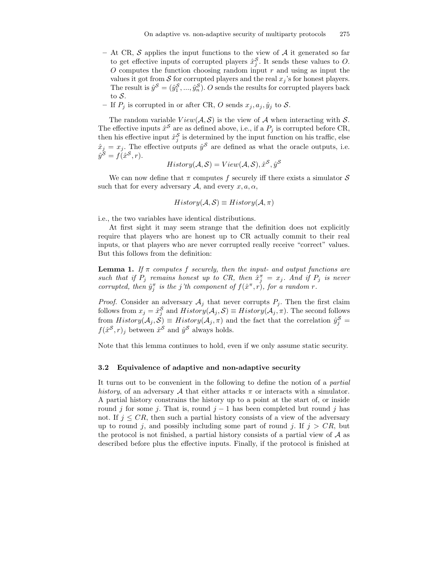- At CR, S applies the input functions to the view of A it generated so far to get effective inputs of corrupted players  $\hat{x}_{j}^{\mathcal{S}}$ . It sends these values to O.  $O$  computes the function choosing random input  $r$  and using as input the values it got from S for corrupted players and the real  $x_j$ 's for honest players. The result is  $\hat{y}^{\mathcal{S}} = (\hat{y}_1^{\mathcal{S}}, ..., \hat{y}_n^{\mathcal{S}})$ . O sends the results for corrupted players back to S.
- If  $P_j$  is corrupted in or after CR, O sends  $x_j, a_j, \hat{y}_j$  to S.

The random variable  $View(\mathcal{A}, \mathcal{S})$  is the view of  $\mathcal{A}$  when interacting with  $\mathcal{S}$ . The effective inputs  $\hat{x}^{\mathcal{S}}$  are as defined above, i.e., if a  $P_j$  is corrupted before CR, then his effective input  $\hat{x}_{j}^{\mathcal{S}}$  is determined by the input function on his traffic, else  $\hat{x}_j = x_j$ . The effective outputs  $\hat{y}^{\mathcal{S}}$  are defined as what the oracle outputs, i.e.  $\hat{y}^{\mathcal{S}} = f(\hat{x}^{\mathcal{S}}, r).$ <br>Historic A  $|\mathcal{S}| = V$ iserc A  $|\mathcal{S}| \hat{x}^{\mathcal{S}} \hat{y}^{\mathcal{S}}$ 

$$
History(\mathcal{A}, \mathcal{S}) = View(\mathcal{A}, \mathcal{S}), \hat{x}^{\mathcal{S}}, \hat{y}^{\mathcal{S}}
$$

We can now define that  $\pi$  computes f securely iff there exists a simulator S such that for every adversary A, and every  $x, a, \alpha$ ,

$$
History(\mathcal{A}, \mathcal{S}) \equiv History(\mathcal{A}, \pi)
$$

i.e., the two variables have identical distributions.

At first sight it may seem strange that the definition does not explicitly require that players who are honest up to CR actually commit to their real inputs, or that players who are never corrupted really receive "correct" values. But this follows from the definition:

**Lemma 1.** If  $\pi$  computes f securely, then the input- and output functions are such that if  $P_j$  remains honest up to CR, then  $\hat{x}_j^{\pi} = x_j$ . And if  $P_j$  is never corrupted, then  $\hat{y}_j^{\pi}$  is the j'th component of  $f(\hat{x}^{\pi}, r)$ , for a random r.

*Proof.* Consider an adversary  $A_j$  that never corrupts  $P_j$ . Then the first claim follows from  $x_j = \hat{x}_j^{\mathcal{S}}$  and  $History(\mathcal{A}_j, \mathcal{S}) \equiv History(\mathcal{A}_j, \pi)$ . The second follows from  $History(\mathcal{A}_j, \mathcal{S}) \equiv History(\mathcal{A}_j, \pi)$  and the fact that the correlation  $\hat{y}_j^{\mathcal{S}} =$  $f(\hat{x}^{\mathcal{S}}, r)_j$  between  $\hat{x}^{\mathcal{S}}$  and  $\hat{y}^{\mathcal{S}}$  always holds.

Note that this lemma continues to hold, even if we only assume static security.

#### 3.2 Equivalence of adaptive and non-adaptive security

It turns out to be convenient in the following to define the notion of a partial history, of an adversary A that either attacks  $\pi$  or interacts with a simulator. A partial history constrains the history up to a point at the start of, or inside round j for some j. That is, round  $j-1$  has been completed but round j has not. If  $j \leq CR$ , then such a partial history consists of a view of the adversary up to round j, and possibly including some part of round j. If  $j > CR$ , but the protocol is not finished, a partial history consists of a partial view of  $A$  as described before plus the effective inputs. Finally, if the protocol is finished at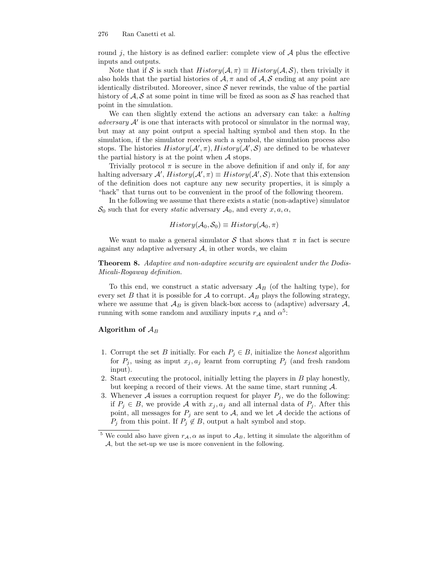round j, the history is as defined earlier: complete view of  $\mathcal A$  plus the effective inputs and outputs.

Note that if S is such that  $History(\mathcal{A}, \pi) \equiv History(\mathcal{A}, \mathcal{S})$ , then trivially it also holds that the partial histories of  $A, \pi$  and of  $A, S$  ending at any point are identically distributed. Moreover, since  $S$  never rewinds, the value of the partial history of  $A, S$  at some point in time will be fixed as soon as S has reached that point in the simulation.

We can then slightly extend the actions an adversary can take: a halting adversary  $A'$  is one that interacts with protocol or simulator in the normal way, but may at any point output a special halting symbol and then stop. In the simulation, if the simulator receives such a symbol, the simulation process also stops. The histories  $History(\mathcal{A}', \pi), History(\mathcal{A}', \mathcal{S})$  are defined to be whatever the partial history is at the point when  $A$  stops.

Trivially protocol  $\pi$  is secure in the above definition if and only if, for any halting adversary  $\mathcal{A}'$ ,  $History(\mathcal{A}', \pi) \equiv History(\mathcal{A}', \mathcal{S})$ . Note that this extension of the definition does not capture any new security properties, it is simply a "hack" that turns out to be convenient in the proof of the following theorem.

In the following we assume that there exists a static (non-adaptive) simulator  $\mathcal{S}_0$  such that for every *static* adversary  $\mathcal{A}_0$ , and every  $x, a, \alpha$ ,

$$
History(\mathcal{A}_0, \mathcal{S}_0) \equiv History(\mathcal{A}_0, \pi)
$$

We want to make a general simulator S that shows that  $\pi$  in fact is secure against any adaptive adversary  $A$ , in other words, we claim

Theorem 8. Adaptive and non-adaptive security are equivalent under the Dodis-Micali-Rogaway definition.

To this end, we construct a static adversary  $A_B$  (of the halting type), for every set B that it is possible for A to corrupt.  $A_B$  plays the following strategy, where we assume that  $\mathcal{A}_B$  is given black-box access to (adaptive) adversary  $\mathcal{A}$ , running with some random and auxiliary inputs  $r_A$  and  $\alpha^5$ :

### Algorithm of  $A_B$

- 1. Corrupt the set B initially. For each  $P_i \in B$ , initialize the *honest* algorithm for  $P_j$ , using as input  $x_j, a_j$  learnt from corrupting  $P_j$  (and fresh random input).
- 2. Start executing the protocol, initially letting the players in B play honestly, but keeping a record of their views. At the same time, start running  $\mathcal{A}$ .
- 3. Whenever A issues a corruption request for player  $P_j$ , we do the following: if  $P_i \in B$ , we provide A with  $x_i, a_i$  and all internal data of  $P_i$ . After this point, all messages for  $P_i$  are sent to  $A$ , and we let  $A$  decide the actions of  $P_j$  from this point. If  $P_j \notin B$ , output a halt symbol and stop.

<sup>&</sup>lt;sup>5</sup> We could also have given  $r_{\mathcal{A}}, \alpha$  as input to  $\mathcal{A}_B$ , letting it simulate the algorithm of A, but the set-up we use is more convenient in the following.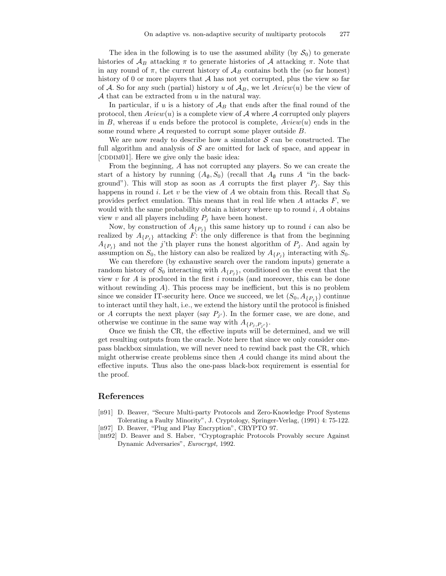The idea in the following is to use the assumed ability (by  $S_0$ ) to generate histories of  $\mathcal{A}_B$  attacking  $\pi$  to generate histories of  $\mathcal A$  attacking  $\pi$ . Note that in any round of  $\pi$ , the current history of  $\mathcal{A}_B$  contains both the (so far honest) history of 0 or more players that  $A$  has not yet corrupted, plus the view so far of A. So for any such (partial) history u of  $A_B$ , we let  $Aview(u)$  be the view of  $A$  that can be extracted from  $u$  in the natural way.

In particular, if u is a history of  $\mathcal{A}_B$  that ends after the final round of the protocol, then  $Aview(u)$  is a complete view of A where A corrupted only players in B, whereas if u ends before the protocol is complete,  $Aview(u)$  ends in the some round where  $A$  requested to corrupt some player outside  $B$ .

We are now ready to describe how a simulator  $S$  can be constructed. The full algorithm and analysis of  $\mathcal S$  are omitted for lack of space, and appear in  $[CDDIM01]$ . Here we give only the basic idea:

From the beginning, A has not corrupted any players. So we can create the start of a history by running  $(A_{\emptyset}, S_0)$  (recall that  $A_{\emptyset}$  runs A "in the background"). This will stop as soon as A corrupts the first player  $P_i$ . Say this happens in round *i*. Let *v* be the view of A we obtain from this. Recall that  $S_0$ provides perfect emulation. This means that in real life when  $A$  attacks  $F$ , we would with the same probability obtain a history where up to round  $i, A$  obtains view  $v$  and all players including  $P_j$  have been honest.

Now, by construction of  $A_{\{P_i\}}$  this same history up to round i can also be realized by  $A_{\{P_i\}}$  attacking F: the only difference is that from the beginning  $A_{\{P_i\}}$  and not the j'th player runs the honest algorithm of  $P_j$ . And again by assumption on  $S_0$ , the history can also be realized by  $A_{\{P_i\}}$  interacting with  $S_0$ .

We can therefore (by exhaustive search over the random inputs) generate a random history of  $S_0$  interacting with  $A_{\{P_i\}}$ , conditioned on the event that the view  $v$  for  $A$  is produced in the first  $i$  rounds (and moreover, this can be done without rewinding  $A$ ). This process may be inefficient, but this is no problem since we consider IT-security here. Once we succeed, we let  $(S_0, A_{\{P_i\}})$  continue to interact until they halt, i.e., we extend the history until the protocol is finished or A corrupts the next player (say  $P_{j'}$ ). In the former case, we are done, and otherwise we continue in the same way with  $A_{\{P_i, P_{i'}\}}$ .

Once we finish the CR, the effective inputs will be determined, and we will get resulting outputs from the oracle. Note here that since we only consider onepass blackbox simulation, we will never need to rewind back past the CR, which might otherwise create problems since then A could change its mind about the effective inputs. Thus also the one-pass black-box requirement is essential for the proof.

# References

- [b91] D. Beaver, "Secure Multi-party Protocols and Zero-Knowledge Proof Systems Tolerating a Faulty Minority", J. Cryptology, Springer-Verlag, (1991) 4: 75-122.
- [b97] D. Beaver, "Plug and Play Encryption", CRYPTO 97.
- [bh92] D. Beaver and S. Haber, "Cryptographic Protocols Provably secure Against Dynamic Adversaries", Eurocrypt, 1992.